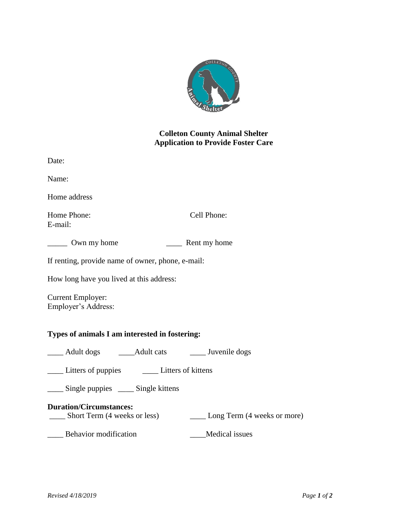

## **Colleton County Animal Shelter Application to Provide Foster Care**

| Date:                                                                                         |  |
|-----------------------------------------------------------------------------------------------|--|
| Name:                                                                                         |  |
| Home address                                                                                  |  |
| Cell Phone:<br>Home Phone:<br>E-mail:                                                         |  |
| _______ Own my home                                                                           |  |
| If renting, provide name of owner, phone, e-mail:                                             |  |
| How long have you lived at this address:                                                      |  |
| <b>Current Employer:</b><br>Employer's Address:                                               |  |
| Types of animals I am interested in fostering:                                                |  |
| _____ Adult dogs _______ Adult cats _______ Juvenile dogs                                     |  |
|                                                                                               |  |
| _____ Single puppies _____ Single kittens                                                     |  |
| <b>Duration/Circumstances:</b><br>Short Term (4 weeks or less)<br>Long Term (4 weeks or more) |  |
| Behavior modification<br>Medical issues                                                       |  |